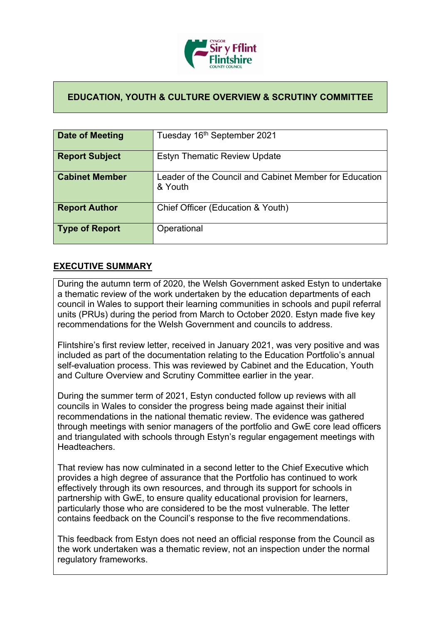

## **EDUCATION, YOUTH & CULTURE OVERVIEW & SCRUTINY COMMITTEE**

| Date of Meeting       | Tuesday 16 <sup>th</sup> September 2021                           |
|-----------------------|-------------------------------------------------------------------|
| <b>Report Subject</b> | <b>Estyn Thematic Review Update</b>                               |
| <b>Cabinet Member</b> | Leader of the Council and Cabinet Member for Education<br>& Youth |
| <b>Report Author</b>  | Chief Officer (Education & Youth)                                 |
| <b>Type of Report</b> | Operational                                                       |

## **EXECUTIVE SUMMARY**

During the autumn term of 2020, the Welsh Government asked Estyn to undertake a thematic review of the work undertaken by the education departments of each council in Wales to support their learning communities in schools and pupil referral units (PRUs) during the period from March to October 2020. Estyn made five key recommendations for the Welsh Government and councils to address.

Flintshire's first review letter, received in January 2021, was very positive and was included as part of the documentation relating to the Education Portfolio's annual self-evaluation process. This was reviewed by Cabinet and the Education, Youth and Culture Overview and Scrutiny Committee earlier in the year.

During the summer term of 2021, Estyn conducted follow up reviews with all councils in Wales to consider the progress being made against their initial recommendations in the national thematic review. The evidence was gathered through meetings with senior managers of the portfolio and GwE core lead officers and triangulated with schools through Estyn's regular engagement meetings with **Headteachers** 

That review has now culminated in a second letter to the Chief Executive which provides a high degree of assurance that the Portfolio has continued to work effectively through its own resources, and through its support for schools in partnership with GwE, to ensure quality educational provision for learners, particularly those who are considered to be the most vulnerable. The letter contains feedback on the Council's response to the five recommendations.

This feedback from Estyn does not need an official response from the Council as the work undertaken was a thematic review, not an inspection under the normal regulatory frameworks.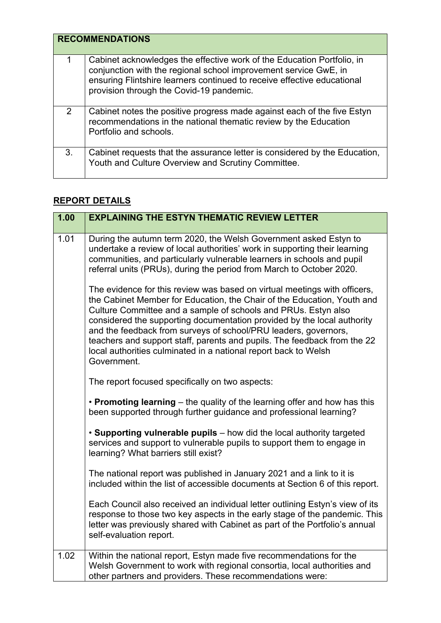|    | <b>RECOMMENDATIONS</b>                                                                                                                                                                                                                                            |  |
|----|-------------------------------------------------------------------------------------------------------------------------------------------------------------------------------------------------------------------------------------------------------------------|--|
| 1  | Cabinet acknowledges the effective work of the Education Portfolio, in<br>conjunction with the regional school improvement service GwE, in<br>ensuring Flintshire learners continued to receive effective educational<br>provision through the Covid-19 pandemic. |  |
| 2  | Cabinet notes the positive progress made against each of the five Estyn<br>recommendations in the national thematic review by the Education<br>Portfolio and schools.                                                                                             |  |
| 3. | Cabinet requests that the assurance letter is considered by the Education,<br>Youth and Culture Overview and Scrutiny Committee.                                                                                                                                  |  |

## **REPORT DETAILS**

| 1.00 | <b>EXPLAINING THE ESTYN THEMATIC REVIEW LETTER</b>                                                                                                                                                                                                                                                                                                                                                                                                                                                                                 |
|------|------------------------------------------------------------------------------------------------------------------------------------------------------------------------------------------------------------------------------------------------------------------------------------------------------------------------------------------------------------------------------------------------------------------------------------------------------------------------------------------------------------------------------------|
| 1.01 | During the autumn term 2020, the Welsh Government asked Estyn to<br>undertake a review of local authorities' work in supporting their learning<br>communities, and particularly vulnerable learners in schools and pupil<br>referral units (PRUs), during the period from March to October 2020.                                                                                                                                                                                                                                   |
|      | The evidence for this review was based on virtual meetings with officers,<br>the Cabinet Member for Education, the Chair of the Education, Youth and<br>Culture Committee and a sample of schools and PRUs. Estyn also<br>considered the supporting documentation provided by the local authority<br>and the feedback from surveys of school/PRU leaders, governors,<br>teachers and support staff, parents and pupils. The feedback from the 22<br>local authorities culminated in a national report back to Welsh<br>Government. |
|      | The report focused specifically on two aspects:                                                                                                                                                                                                                                                                                                                                                                                                                                                                                    |
|      | • Promoting learning – the quality of the learning offer and how has this<br>been supported through further guidance and professional learning?                                                                                                                                                                                                                                                                                                                                                                                    |
|      | • Supporting vulnerable pupils - how did the local authority targeted<br>services and support to vulnerable pupils to support them to engage in<br>learning? What barriers still exist?                                                                                                                                                                                                                                                                                                                                            |
|      | The national report was published in January 2021 and a link to it is<br>included within the list of accessible documents at Section 6 of this report.                                                                                                                                                                                                                                                                                                                                                                             |
|      | Each Council also received an individual letter outlining Estyn's view of its<br>response to those two key aspects in the early stage of the pandemic. This<br>letter was previously shared with Cabinet as part of the Portfolio's annual<br>self-evaluation report.                                                                                                                                                                                                                                                              |
| 1.02 | Within the national report, Estyn made five recommendations for the<br>Welsh Government to work with regional consortia, local authorities and<br>other partners and providers. These recommendations were:                                                                                                                                                                                                                                                                                                                        |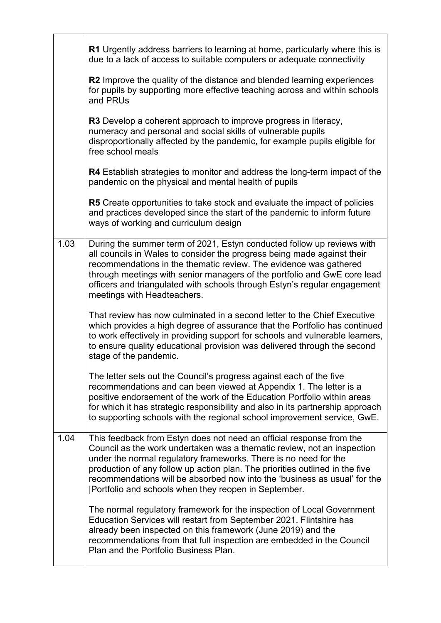|      | R1 Urgently address barriers to learning at home, particularly where this is<br>due to a lack of access to suitable computers or adequate connectivity                                                                                                                                                                                                                                                                                    |
|------|-------------------------------------------------------------------------------------------------------------------------------------------------------------------------------------------------------------------------------------------------------------------------------------------------------------------------------------------------------------------------------------------------------------------------------------------|
|      | R2 Improve the quality of the distance and blended learning experiences<br>for pupils by supporting more effective teaching across and within schools<br>and PRUs                                                                                                                                                                                                                                                                         |
|      | R3 Develop a coherent approach to improve progress in literacy,<br>numeracy and personal and social skills of vulnerable pupils<br>disproportionally affected by the pandemic, for example pupils eligible for<br>free school meals                                                                                                                                                                                                       |
|      | R4 Establish strategies to monitor and address the long-term impact of the<br>pandemic on the physical and mental health of pupils                                                                                                                                                                                                                                                                                                        |
|      | R5 Create opportunities to take stock and evaluate the impact of policies<br>and practices developed since the start of the pandemic to inform future<br>ways of working and curriculum design                                                                                                                                                                                                                                            |
| 1.03 | During the summer term of 2021, Estyn conducted follow up reviews with<br>all councils in Wales to consider the progress being made against their<br>recommendations in the thematic review. The evidence was gathered<br>through meetings with senior managers of the portfolio and GwE core lead<br>officers and triangulated with schools through Estyn's regular engagement<br>meetings with Headteachers.                            |
|      | That review has now culminated in a second letter to the Chief Executive<br>which provides a high degree of assurance that the Portfolio has continued<br>to work effectively in providing support for schools and vulnerable learners,<br>to ensure quality educational provision was delivered through the second<br>stage of the pandemic.                                                                                             |
|      | The letter sets out the Council's progress against each of the five<br>recommendations and can been viewed at Appendix 1. The letter is a<br>positive endorsement of the work of the Education Portfolio within areas<br>for which it has strategic responsibility and also in its partnership approach<br>to supporting schools with the regional school improvement service, GwE.                                                       |
| 1.04 | This feedback from Estyn does not need an official response from the<br>Council as the work undertaken was a thematic review, not an inspection<br>under the normal regulatory frameworks. There is no need for the<br>production of any follow up action plan. The priorities outlined in the five<br>recommendations will be absorbed now into the 'business as usual' for the<br>[Portfolio and schools when they reopen in September. |
|      | The normal regulatory framework for the inspection of Local Government<br>Education Services will restart from September 2021. Flintshire has<br>already been inspected on this framework (June 2019) and the<br>recommendations from that full inspection are embedded in the Council<br>Plan and the Portfolio Business Plan.                                                                                                           |